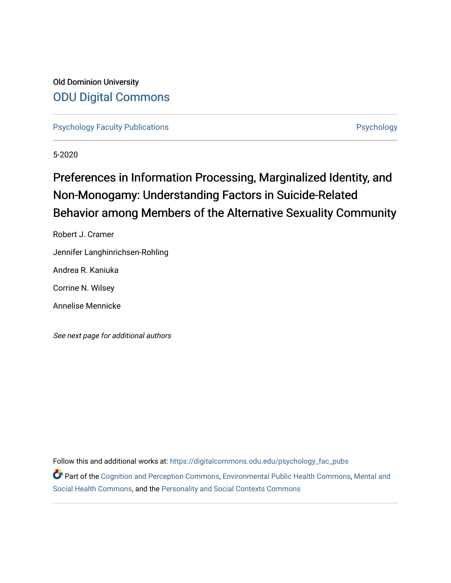## Old Dominion University [ODU Digital Commons](https://digitalcommons.odu.edu/)

[Psychology Faculty Publications](https://digitalcommons.odu.edu/psychology_fac_pubs) **Psychology** Psychology

5-2020

# Preferences in Information Processing, Marginalized Identity, and Non-Monogamy: Understanding Factors in Suicide-Related Behavior among Members of the Alternative Sexuality Community

Robert J. Cramer Jennifer Langhinrichsen-Rohling Andrea R. Kaniuka Corrine N. Wilsey Annelise Mennicke

See next page for additional authors

Follow this and additional works at: [https://digitalcommons.odu.edu/psychology\\_fac\\_pubs](https://digitalcommons.odu.edu/psychology_fac_pubs?utm_source=digitalcommons.odu.edu%2Fpsychology_fac_pubs%2F103&utm_medium=PDF&utm_campaign=PDFCoverPages) Part of the [Cognition and Perception Commons,](http://network.bepress.com/hgg/discipline/407?utm_source=digitalcommons.odu.edu%2Fpsychology_fac_pubs%2F103&utm_medium=PDF&utm_campaign=PDFCoverPages) [Environmental Public Health Commons](http://network.bepress.com/hgg/discipline/739?utm_source=digitalcommons.odu.edu%2Fpsychology_fac_pubs%2F103&utm_medium=PDF&utm_campaign=PDFCoverPages), [Mental and](http://network.bepress.com/hgg/discipline/709?utm_source=digitalcommons.odu.edu%2Fpsychology_fac_pubs%2F103&utm_medium=PDF&utm_campaign=PDFCoverPages) [Social Health Commons](http://network.bepress.com/hgg/discipline/709?utm_source=digitalcommons.odu.edu%2Fpsychology_fac_pubs%2F103&utm_medium=PDF&utm_campaign=PDFCoverPages), and the [Personality and Social Contexts Commons](http://network.bepress.com/hgg/discipline/413?utm_source=digitalcommons.odu.edu%2Fpsychology_fac_pubs%2F103&utm_medium=PDF&utm_campaign=PDFCoverPages)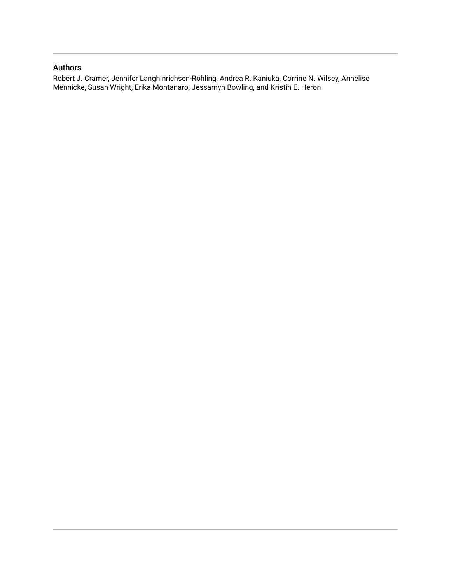### Authors

Robert J. Cramer, Jennifer Langhinrichsen-Rohling, Andrea R. Kaniuka, Corrine N. Wilsey, Annelise Mennicke, Susan Wright, Erika Montanaro, Jessamyn Bowling, and Kristin E. Heron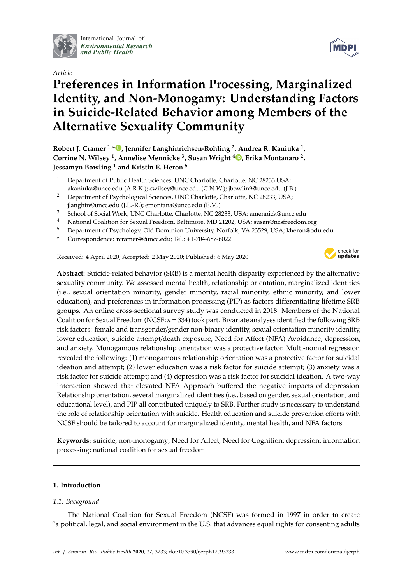

International Journal of *[Environmental Research](http://www.mdpi.com/journal/ijerph) and Public Health*

### *Article*

# **Preferences in Information Processing, Marginalized Identity, and Non-Monogamy: Understanding Factors in Suicide-Related Behavior among Members of the Alternative Sexuality Community**

**Robert J. Cramer 1,[\\*](https://orcid.org/0000-0001-9105-5565) , Jennifer Langhinrichsen-Rohling <sup>2</sup> , Andrea R. Kaniuka <sup>1</sup> , Corrine N. Wilsey <sup>1</sup> , Annelise Mennicke <sup>3</sup> , Susan Wright <sup>4</sup> [,](https://orcid.org/0000-0002-9290-6242) Erika Montanaro <sup>2</sup> , Jessamyn Bowling <sup>1</sup> and Kristin E. Heron <sup>5</sup>**

- <sup>1</sup> Department of Public Health Sciences, UNC Charlotte, Charlotte, NC 28233 USA; akaniuka@uncc.edu (A.R.K.); cwilsey@uncc.edu (C.N.W.); jbowlin9@uncc.edu (J.B.)
- <sup>2</sup> Department of Psychological Sciences, UNC Charlotte, Charlotte, NC 28233, USA; jlanghin@uncc.edu (J.L.-R.); emontana@uncc.edu (E.M.)
- <sup>3</sup> School of Social Work, UNC Charlotte, Charlotte, NC 28233, USA; amennick@uncc.edu
- <sup>4</sup> National Coalition for Sexual Freedom, Baltimore, MD 21202, USA; susan@ncsfreedom.org
- <sup>5</sup> Department of Psychology, Old Dominion University, Norfolk, VA 23529, USA; kheron@odu.edu
- **\*** Correspondence: rcramer4@uncc.edu; Tel.: +1-704-687-6022

Received: 4 April 2020; Accepted: 2 May 2020; Published: 6 May 2020



**Abstract:** Suicide-related behavior (SRB) is a mental health disparity experienced by the alternative sexuality community. We assessed mental health, relationship orientation, marginalized identities (i.e., sexual orientation minority, gender minority, racial minority, ethnic minority, and lower education), and preferences in information processing (PIP) as factors differentiating lifetime SRB groups. An online cross-sectional survey study was conducted in 2018. Members of the National Coalition for Sexual Freedom (NCSF; *n* = 334) took part. Bivariate analyses identified the following SRB risk factors: female and transgender/gender non-binary identity, sexual orientation minority identity, lower education, suicide attempt/death exposure, Need for Affect (NFA) Avoidance, depression, and anxiety. Monogamous relationship orientation was a protective factor. Multi-nomial regression revealed the following: (1) monogamous relationship orientation was a protective factor for suicidal ideation and attempt; (2) lower education was a risk factor for suicide attempt; (3) anxiety was a risk factor for suicide attempt; and (4) depression was a risk factor for suicidal ideation. A two-way interaction showed that elevated NFA Approach buffered the negative impacts of depression. Relationship orientation, several marginalized identities (i.e., based on gender, sexual orientation, and educational level), and PIP all contributed uniquely to SRB. Further study is necessary to understand the role of relationship orientation with suicide. Health education and suicide prevention efforts with NCSF should be tailored to account for marginalized identity, mental health, and NFA factors.

**Keywords:** suicide; non-monogamy; Need for Affect; Need for Cognition; depression; information processing; national coalition for sexual freedom

#### **1. Introduction**

#### *1.1. Background*

The National Coalition for Sexual Freedom (NCSF) was formed in 1997 in order to create "a political, legal, and social environment in the U.S. that advances equal rights for consenting adults

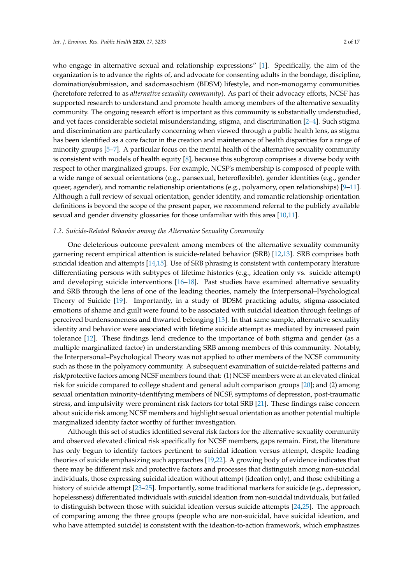who engage in alternative sexual and relationship expressions" [\[1\]](#page-15-0). Specifically, the aim of the organization is to advance the rights of, and advocate for consenting adults in the bondage, discipline, domination/submission, and sadomasochism (BDSM) lifestyle, and non-monogamy communities (heretofore referred to as *alternative sexuality community*). As part of their advocacy efforts, NCSF has supported research to understand and promote health among members of the alternative sexuality community. The ongoing research effort is important as this community is substantially understudied, and yet faces considerable societal misunderstanding, stigma, and discrimination [\[2–](#page-15-1)[4\]](#page-15-2). Such stigma and discrimination are particularly concerning when viewed through a public health lens, as stigma has been identified as a core factor in the creation and maintenance of health disparities for a range of minority groups [\[5](#page-15-3)[–7\]](#page-15-4). A particular focus on the mental health of the alternative sexuality community is consistent with models of health equity [\[8\]](#page-15-5), because this subgroup comprises a diverse body with respect to other marginalized groups. For example, NCSF's membership is composed of people with a wide range of sexual orientations (e.g., pansexual, heteroflexible), gender identities (e.g., gender queer, agender), and romantic relationship orientations (e.g., polyamory, open relationships) [\[9–](#page-15-6)[11\]](#page-15-7). Although a full review of sexual orientation, gender identity, and romantic relationship orientation definitions is beyond the scope of the present paper, we recommend referral to the publicly available sexual and gender diversity glossaries for those unfamiliar with this area [\[10](#page-15-8)[,11\]](#page-15-7).

#### *1.2. Suicide-Related Behavior among the Alternative Sexuality Community*

One deleterious outcome prevalent among members of the alternative sexuality community garnering recent empirical attention is suicide-related behavior (SRB) [\[12,](#page-16-0)[13\]](#page-16-1). SRB comprises both suicidal ideation and attempts [\[14](#page-16-2)[,15\]](#page-16-3). Use of SRB phrasing is consistent with contemporary literature differentiating persons with subtypes of lifetime histories (e.g., ideation only vs. suicide attempt) and developing suicide interventions [\[16](#page-16-4)[–18\]](#page-16-5). Past studies have examined alternative sexuality and SRB through the lens of one of the leading theories, namely the Interpersonal–Psychological Theory of Suicide [\[19\]](#page-16-6). Importantly, in a study of BDSM practicing adults, stigma-associated emotions of shame and guilt were found to be associated with suicidal ideation through feelings of perceived burdensomeness and thwarted belonging [\[13\]](#page-16-1). In that same sample, alternative sexuality identity and behavior were associated with lifetime suicide attempt as mediated by increased pain tolerance [\[12\]](#page-16-0). These findings lend credence to the importance of both stigma and gender (as a multiple marginalized factor) in understanding SRB among members of this community. Notably, the Interpersonal–Psychological Theory was not applied to other members of the NCSF community such as those in the polyamory community. A subsequent examination of suicide-related patterns and risk/protective factors among NCSF members found that: (1) NCSF members were at an elevated clinical risk for suicide compared to college student and general adult comparison groups [\[20\]](#page-16-7); and (2) among sexual orientation minority-identifying members of NCSF, symptoms of depression, post-traumatic stress, and impulsivity were prominent risk factors for total SRB [\[21\]](#page-16-8). These findings raise concern about suicide risk among NCSF members and highlight sexual orientation as another potential multiple marginalized identity factor worthy of further investigation.

Although this set of studies identified several risk factors for the alternative sexuality community and observed elevated clinical risk specifically for NCSF members, gaps remain. First, the literature has only begun to identify factors pertinent to suicidal ideation versus attempt, despite leading theories of suicide emphasizing such approaches [\[19](#page-16-6)[,22\]](#page-16-9). A growing body of evidence indicates that there may be different risk and protective factors and processes that distinguish among non-suicidal individuals, those expressing suicidal ideation without attempt (ideation only), and those exhibiting a history of suicide attempt [\[23](#page-16-10)[–25\]](#page-16-11). Importantly, some traditional markers for suicide (e.g., depression, hopelessness) differentiated individuals with suicidal ideation from non-suicidal individuals, but failed to distinguish between those with suicidal ideation versus suicide attempts [\[24](#page-16-12)[,25\]](#page-16-11). The approach of comparing among the three groups (people who are non-suicidal, have suicidal ideation, and who have attempted suicide) is consistent with the ideation-to-action framework, which emphasizes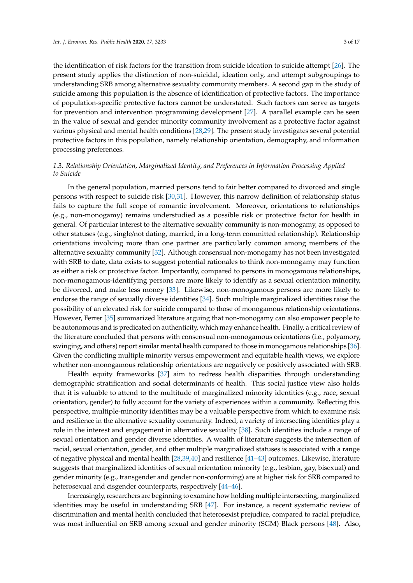the identification of risk factors for the transition from suicide ideation to suicide attempt [\[26\]](#page-16-13). The present study applies the distinction of non-suicidal, ideation only, and attempt subgroupings to understanding SRB among alternative sexuality community members. A second gap in the study of suicide among this population is the absence of identification of protective factors. The importance of population-specific protective factors cannot be understated. Such factors can serve as targets for prevention and intervention programming development [\[27\]](#page-16-14). A parallel example can be seen in the value of sexual and gender minority community involvement as a protective factor against various physical and mental health conditions [\[28,](#page-16-15)[29\]](#page-16-16). The present study investigates several potential protective factors in this population, namely relationship orientation, demography, and information processing preferences.

#### *1.3. Relationship Orientation, Marginalized Identity, and Preferences in Information Processing Applied to Suicide*

In the general population, married persons tend to fair better compared to divorced and single persons with respect to suicide risk [\[30,](#page-16-17)[31\]](#page-16-18). However, this narrow definition of relationship status fails to capture the full scope of romantic involvement. Moreover, orientations to relationships (e.g., non-monogamy) remains understudied as a possible risk or protective factor for health in general. Of particular interest to the alternative sexuality community is non-monogamy, as opposed to other statuses (e.g., single/not dating, married, in a long-term committed relationship). Relationship orientations involving more than one partner are particularly common among members of the alternative sexuality community [\[32\]](#page-16-19). Although consensual non-monogamy has not been investigated with SRB to date, data exists to suggest potential rationales to think non-monogamy may function as either a risk or protective factor. Importantly, compared to persons in monogamous relationships, non-monogamous-identifying persons are more likely to identify as a sexual orientation minority, be divorced, and make less money [\[33\]](#page-17-0). Likewise, non-monogamous persons are more likely to endorse the range of sexually diverse identities [\[34\]](#page-17-1). Such multiple marginalized identities raise the possibility of an elevated risk for suicide compared to those of monogamous relationship orientations. However, Ferrer [\[35\]](#page-17-2) summarized literature arguing that non-monogamy can also empower people to be autonomous and is predicated on authenticity, which may enhance health. Finally, a critical review of the literature concluded that persons with consensual non-monogamous orientations (i.e., polyamory, swinging, and others) report similar mental health compared to those in monogamous relationships [\[36\]](#page-17-3). Given the conflicting multiple minority versus empowerment and equitable health views, we explore whether non-monogamous relationship orientations are negatively or positively associated with SRB.

Health equity frameworks [\[37\]](#page-17-4) aim to redress health disparities through understanding demographic stratification and social determinants of health. This social justice view also holds that it is valuable to attend to the multitude of marginalized minority identities (e.g., race, sexual orientation, gender) to fully account for the variety of experiences within a community. Reflecting this perspective, multiple-minority identities may be a valuable perspective from which to examine risk and resilience in the alternative sexuality community. Indeed, a variety of intersecting identities play a role in the interest and engagement in alternative sexuality [\[38\]](#page-17-5). Such identities include a range of sexual orientation and gender diverse identities. A wealth of literature suggests the intersection of racial, sexual orientation, gender, and other multiple marginalized statuses is associated with a range of negative physical and mental health [\[28](#page-16-15)[,39](#page-17-6)[,40\]](#page-17-7) and resilience [\[41](#page-17-8)[–43\]](#page-17-9) outcomes. Likewise, literature suggests that marginalized identities of sexual orientation minority (e.g., lesbian, gay, bisexual) and gender minority (e.g., transgender and gender non-conforming) are at higher risk for SRB compared to heterosexual and cisgender counterparts, respectively [\[44–](#page-17-10)[46\]](#page-17-11).

Increasingly, researchers are beginning to examine how holding multiple intersecting, marginalized identities may be useful in understanding SRB [\[47\]](#page-17-12). For instance, a recent systematic review of discrimination and mental health concluded that heterosexist prejudice, compared to racial prejudice, was most influential on SRB among sexual and gender minority (SGM) Black persons [\[48\]](#page-17-13). Also,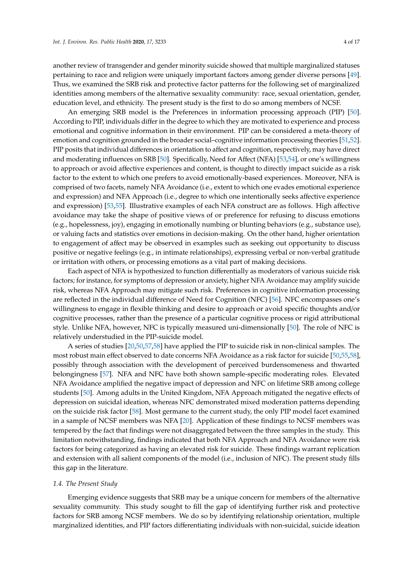another review of transgender and gender minority suicide showed that multiple marginalized statuses pertaining to race and religion were uniquely important factors among gender diverse persons [\[49\]](#page-17-14). Thus, we examined the SRB risk and protective factor patterns for the following set of marginalized identities among members of the alternative sexuality community: race, sexual orientation, gender, education level, and ethnicity. The present study is the first to do so among members of NCSF.

An emerging SRB model is the Preferences in information processing approach (PIP) [\[50\]](#page-17-15). According to PIP, individuals differ in the degree to which they are motivated to experience and process emotional and cognitive information in their environment. PIP can be considered a meta-theory of emotion and cognition grounded in the broader social–cognitive information processing theories [\[51](#page-17-16)[,52\]](#page-17-17). PIP posits that individual differences in orientation to affect and cognition, respectively, may have direct and moderating influences on SRB [\[50\]](#page-17-15). Specifically, Need for Affect (NFA) [\[53](#page-17-18)[,54\]](#page-17-19), or one's willingness to approach or avoid affective experiences and content, is thought to directly impact suicide as a risk factor to the extent to which one prefers to avoid emotionally-based experiences. Moreover, NFA is comprised of two facets, namely NFA Avoidance (i.e., extent to which one evades emotional experience and expression) and NFA Approach (i.e., degree to which one intentionally seeks affective experience and expression) [\[53](#page-17-18)[,55\]](#page-17-20). Illustrative examples of each NFA construct are as follows. High affective avoidance may take the shape of positive views of or preference for refusing to discuss emotions (e.g., hopelessness, joy), engaging in emotionally numbing or blunting behaviors (e.g., substance use), or valuing facts and statistics over emotions in decision-making. On the other hand, higher orientation to engagement of affect may be observed in examples such as seeking out opportunity to discuss positive or negative feelings (e.g., in intimate relationships), expressing verbal or non-verbal gratitude or irritation with others, or processing emotions as a vital part of making decisions.

Each aspect of NFA is hypothesized to function differentially as moderators of various suicide risk factors; for instance, for symptoms of depression or anxiety, higher NFA Avoidance may amplify suicide risk, whereas NFA Approach may mitigate such risk. Preferences in cognitive information processing are reflected in the individual difference of Need for Cognition (NFC) [\[56\]](#page-17-21). NFC encompasses one's willingness to engage in flexible thinking and desire to approach or avoid specific thoughts and/or cognitive processes, rather than the presence of a particular cognitive process or rigid attributional style. Unlike NFA, however, NFC is typically measured uni-dimensionally [\[50\]](#page-17-15). The role of NFC is relatively understudied in the PIP-suicide model.

A series of studies [\[20](#page-16-7)[,50](#page-17-15)[,57,](#page-18-0)[58\]](#page-18-1) have applied the PIP to suicide risk in non-clinical samples. The most robust main effect observed to date concerns NFA Avoidance as a risk factor for suicide [\[50](#page-17-15)[,55](#page-17-20)[,58\]](#page-18-1), possibly through association with the development of perceived burdensomeness and thwarted belongingness [\[57\]](#page-18-0). NFA and NFC have both shown sample-specific moderating roles. Elevated NFA Avoidance amplified the negative impact of depression and NFC on lifetime SRB among college students [\[50\]](#page-17-15). Among adults in the United Kingdom, NFA Approach mitigated the negative effects of depression on suicidal ideation, whereas NFC demonstrated mixed moderation patterns depending on the suicide risk factor [\[58\]](#page-18-1). Most germane to the current study, the only PIP model facet examined in a sample of NCSF members was NFA [\[20\]](#page-16-7). Application of these findings to NCSF members was tempered by the fact that findings were not disaggregated between the three samples in the study. This limitation notwithstanding, findings indicated that both NFA Approach and NFA Avoidance were risk factors for being categorized as having an elevated risk for suicide. These findings warrant replication and extension with all salient components of the model (i.e., inclusion of NFC). The present study fills this gap in the literature.

#### *1.4. The Present Study*

Emerging evidence suggests that SRB may be a unique concern for members of the alternative sexuality community. This study sought to fill the gap of identifying further risk and protective factors for SRB among NCSF members. We do so by identifying relationship orientation, multiple marginalized identities, and PIP factors differentiating individuals with non-suicidal, suicide ideation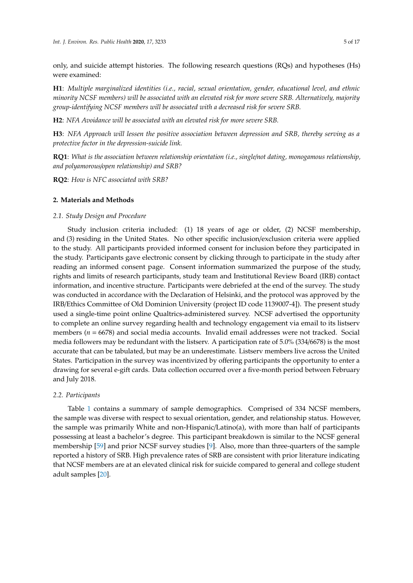only, and suicide attempt histories. The following research questions (RQs) and hypotheses (Hs) were examined:

**H1**: *Multiple marginalized identities (i.e., racial, sexual orientation, gender, educational level, and ethnic minority NCSF members) will be associated with an elevated risk for more severe SRB. Alternatively, majority group-identifying NCSF members will be associated with a decreased risk for severe SRB.*

**H2**: *NFA Avoidance will be associated with an elevated risk for more severe SRB.*

**H3**: *NFA Approach will lessen the positive association between depression and SRB, thereby serving as a protective factor in the depression-suicide link.*

**RQ1**: *What is the association between relationship orientation (i.e., single*/*not dating, monogamous relationship, and polyamorous*/*open relationship) and SRB?*

**RQ2**: *How is NFC associated with SRB?*

#### **2. Materials and Methods**

#### *2.1. Study Design and Procedure*

Study inclusion criteria included: (1) 18 years of age or older, (2) NCSF membership, and (3) residing in the United States. No other specific inclusion/exclusion criteria were applied to the study. All participants provided informed consent for inclusion before they participated in the study. Participants gave electronic consent by clicking through to participate in the study after reading an informed consent page. Consent information summarized the purpose of the study, rights and limits of research participants, study team and Institutional Review Board (IRB) contact information, and incentive structure. Participants were debriefed at the end of the survey. The study was conducted in accordance with the Declaration of Helsinki, and the protocol was approved by the IRB/Ethics Committee of Old Dominion University (project ID code 1139007-4]). The present study used a single-time point online Qualtrics-administered survey. NCSF advertised the opportunity to complete an online survey regarding health and technology engagement via email to its listserv members (*n* = 6678) and social media accounts. Invalid email addresses were not tracked. Social media followers may be redundant with the listserv. A participation rate of 5.0% (334/6678) is the most accurate that can be tabulated, but may be an underestimate. Listserv members live across the United States. Participation in the survey was incentivized by offering participants the opportunity to enter a drawing for several e-gift cards. Data collection occurred over a five-month period between February and July 2018.

#### *2.2. Participants*

Table [1](#page-7-0) contains a summary of sample demographics. Comprised of 334 NCSF members, the sample was diverse with respect to sexual orientation, gender, and relationship status. However, the sample was primarily White and non-Hispanic/Latino(a), with more than half of participants possessing at least a bachelor's degree. This participant breakdown is similar to the NCSF general membership [\[59\]](#page-18-2) and prior NCSF survey studies [\[9\]](#page-15-6). Also, more than three-quarters of the sample reported a history of SRB. High prevalence rates of SRB are consistent with prior literature indicating that NCSF members are at an elevated clinical risk for suicide compared to general and college student adult samples [\[20\]](#page-16-7).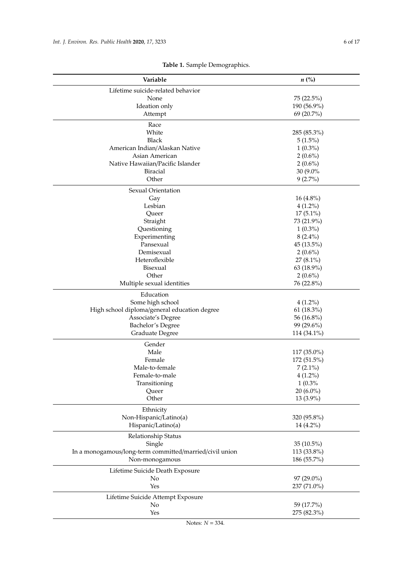<span id="page-7-0"></span>

| Variable                                                | $n\left(\%\right)$ |
|---------------------------------------------------------|--------------------|
| Lifetime suicide-related behavior                       |                    |
| None                                                    | 75 (22.5%)         |
| Ideation only                                           | 190 (56.9%)        |
| Attempt                                                 | 69 (20.7%)         |
| Race                                                    |                    |
| White                                                   | 285 (85.3%)        |
| <b>Black</b>                                            | $5(1.5\%)$         |
| American Indian/Alaskan Native                          | $1(0.3\%)$         |
| Asian American                                          | $2(0.6\%)$         |
| Native Hawaiian/Pacific Islander                        | $2(0.6\%)$         |
| <b>Biracial</b>                                         | 30 (9.0%           |
| Other                                                   | $9(2.7\%)$         |
| Sexual Orientation                                      |                    |
| Gay                                                     | $16(4.8\%)$        |
| Lesbian                                                 | $4(1.2\%)$         |
| Queer                                                   | $17(5.1\%)$        |
| Straight                                                | 73 (21.9%)         |
| Questioning                                             | $1(0.3\%)$         |
| Experimenting                                           | $8(2.4\%)$         |
| Pansexual                                               | 45 (13.5%)         |
| Demisexual                                              | $2(0.6\%)$         |
| Heteroflexible                                          | 27 (8.1%)          |
| Bisexual                                                | 63 (18.9%)         |
| Other                                                   | $2(0.6\%)$         |
| Multiple sexual identities                              | 76 (22.8%)         |
| Education                                               |                    |
| Some high school                                        | $4(1.2\%)$         |
| High school diploma/general education degree            | $61(18.3\%)$       |
| Associate's Degree                                      | 56 (16.8%)         |
| Bachelor's Degree                                       | 99 (29.6%)         |
| Graduate Degree                                         | 114 (34.1%)        |
| Gender                                                  |                    |
| Male                                                    | 117 (35.0%)        |
| Female                                                  | 172 (51.5%)        |
| Male-to-female                                          | $7(2.1\%)$         |
| Female-to-male                                          | $4(1.2\%)$         |
| Transitioning                                           | 1(0.3%             |
| Queer                                                   | 20 (6.0%)          |
| Other                                                   | 13 (3.9%)          |
| Ethnicity                                               |                    |
| Non-Hispanic/Latino(a)                                  | 320 (95.8%)        |
| Hispanic/Latino(a)                                      | 14 (4.2%)          |
| Relationship Status                                     |                    |
| Single                                                  | $35(10.5\%)$       |
| In a monogamous/long-term committed/married/civil union | 113 (33.8%)        |
| Non-monogamous                                          | 186 (55.7%)        |
| Lifetime Suicide Death Exposure                         |                    |
| No                                                      | 97 (29.0%)         |
| Yes                                                     | 237 (71.0%)        |
| Lifetime Suicide Attempt Exposure                       |                    |
| No                                                      | 59 (17.7%)         |
| Yes                                                     | 275 (82.3%)        |

**Table 1.** Sample Demographics.

Notes: *N* = 334.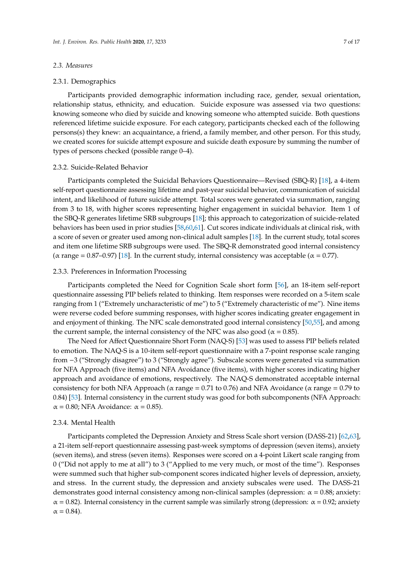#### *2.3. Measures*

#### 2.3.1. Demographics

Participants provided demographic information including race, gender, sexual orientation, relationship status, ethnicity, and education. Suicide exposure was assessed via two questions: knowing someone who died by suicide and knowing someone who attempted suicide. Both questions referenced lifetime suicide exposure. For each category, participants checked each of the following persons(s) they knew: an acquaintance, a friend, a family member, and other person. For this study, we created scores for suicide attempt exposure and suicide death exposure by summing the number of types of persons checked (possible range 0–4).

#### 2.3.2. Suicide-Related Behavior

Participants completed the Suicidal Behaviors Questionnaire—Revised (SBQ-R) [\[18\]](#page-16-5), a 4-item self-report questionnaire assessing lifetime and past-year suicidal behavior, communication of suicidal intent, and likelihood of future suicide attempt. Total scores were generated via summation, ranging from 3 to 18, with higher scores representing higher engagement in suicidal behavior. Item 1 of the SBQ-R generates lifetime SRB subgroups [\[18\]](#page-16-5); this approach to categorization of suicide-related behaviors has been used in prior studies [\[58,](#page-18-1)[60,](#page-18-3)[61\]](#page-18-4). Cut scores indicate individuals at clinical risk, with a score of seven or greater used among non-clinical adult samples [\[18\]](#page-16-5). In the current study, total scores and item one lifetime SRB subgroups were used. The SBQ-R demonstrated good internal consistency ( $\alpha$  range = 0.87–0.97) [\[18\]](#page-16-5). In the current study, internal consistency was acceptable ( $\alpha$  = 0.77).

#### 2.3.3. Preferences in Information Processing

Participants completed the Need for Cognition Scale short form [\[56\]](#page-17-21), an 18-item self-report questionnaire assessing PIP beliefs related to thinking. Item responses were recorded on a 5-item scale ranging from 1 ("Extremely uncharacteristic of me") to 5 ("Extremely characteristic of me"). Nine items were reverse coded before summing responses, with higher scores indicating greater engagement in and enjoyment of thinking. The NFC scale demonstrated good internal consistency [\[50,](#page-17-15)[55\]](#page-17-20), and among the current sample, the internal consistency of the NFC was also good ( $\alpha = 0.85$ ).

The Need for Affect Questionnaire Short Form (NAQ-S) [\[53\]](#page-17-18) was used to assess PIP beliefs related to emotion. The NAQ-S is a 10-item self-report questionnaire with a 7-point response scale ranging from −3 ("Strongly disagree") to 3 ("Strongly agree"). Subscale scores were generated via summation for NFA Approach (five items) and NFA Avoidance (five items), with higher scores indicating higher approach and avoidance of emotions, respectively. The NAQ-S demonstrated acceptable internal consistency for both NFA Approach ( $\alpha$  range = 0.71 to 0.76) and NFA Avoidance ( $\alpha$  range = 0.79 to 0.84) [\[53\]](#page-17-18). Internal consistency in the current study was good for both subcomponents (NFA Approach:  $\alpha$  = 0.80; NFA Avoidance:  $\alpha$  = 0.85).

#### 2.3.4. Mental Health

Participants completed the Depression Anxiety and Stress Scale short version (DASS-21) [\[62,](#page-18-5)[63\]](#page-18-6), a 21-item self-report questionnaire assessing past-week symptoms of depression (seven items), anxiety (seven items), and stress (seven items). Responses were scored on a 4-point Likert scale ranging from 0 ("Did not apply to me at all") to 3 ("Applied to me very much, or most of the time"). Responses were summed such that higher sub-component scores indicated higher levels of depression, anxiety, and stress. In the current study, the depression and anxiety subscales were used. The DASS-21 demonstrates good internal consistency among non-clinical samples (depression:  $α = 0.88$ ; anxiety:  $\alpha$  = 0.82). Internal consistency in the current sample was similarly strong (depression:  $\alpha$  = 0.92; anxiety  $\alpha = 0.84$ ).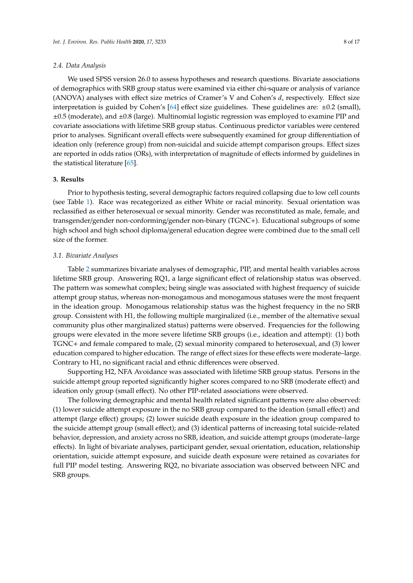#### *2.4. Data Analysis*

We used SPSS version 26.0 to assess hypotheses and research questions. Bivariate associations of demographics with SRB group status were examined via either chi-square or analysis of variance (ANOVA) analyses with effect size metrics of Cramer's V and Cohen's *d*, respectively. Effect size interpretation is guided by Cohen's [\[64\]](#page-18-7) effect size guidelines. These guidelines are: ±0.2 (small), ±0.5 (moderate), and ±0.8 (large). Multinomial logistic regression was employed to examine PIP and covariate associations with lifetime SRB group status. Continuous predictor variables were centered prior to analyses. Significant overall effects were subsequently examined for group differentiation of ideation only (reference group) from non-suicidal and suicide attempt comparison groups. Effect sizes are reported in odds ratios (ORs), with interpretation of magnitude of effects informed by guidelines in the statistical literature [\[65\]](#page-18-8).

#### **3. Results**

Prior to hypothesis testing, several demographic factors required collapsing due to low cell counts (see Table [1\)](#page-7-0). Race was recategorized as either White or racial minority. Sexual orientation was reclassified as either heterosexual or sexual minority. Gender was reconstituted as male, female, and transgender/gender non-conforming/gender non-binary (TGNC+). Educational subgroups of some high school and high school diploma/general education degree were combined due to the small cell size of the former.

#### *3.1. Bivariate Analyses*

Table [2](#page-10-0) summarizes bivariate analyses of demographic, PIP, and mental health variables across lifetime SRB group. Answering RQ1, a large significant effect of relationship status was observed. The pattern was somewhat complex; being single was associated with highest frequency of suicide attempt group status, whereas non-monogamous and monogamous statuses were the most frequent in the ideation group. Monogamous relationship status was the highest frequency in the no SRB group. Consistent with H1, the following multiple marginalized (i.e., member of the alternative sexual community plus other marginalized status) patterns were observed. Frequencies for the following groups were elevated in the more severe lifetime SRB groups (i.e., ideation and attempt): (1) both TGNC+ and female compared to male, (2) sexual minority compared to heterosexual, and (3) lower education compared to higher education. The range of effect sizes for these effects were moderate–large. Contrary to H1, no significant racial and ethnic differences were observed.

Supporting H2, NFA Avoidance was associated with lifetime SRB group status. Persons in the suicide attempt group reported significantly higher scores compared to no SRB (moderate effect) and ideation only group (small effect). No other PIP-related associations were observed.

The following demographic and mental health related significant patterns were also observed: (1) lower suicide attempt exposure in the no SRB group compared to the ideation (small effect) and attempt (large effect) groups; (2) lower suicide death exposure in the ideation group compared to the suicide attempt group (small effect); and (3) identical patterns of increasing total suicide-related behavior, depression, and anxiety across no SRB, ideation, and suicide attempt groups (moderate–large effects). In light of bivariate analyses, participant gender, sexual orientation, education, relationship orientation, suicide attempt exposure, and suicide death exposure were retained as covariates for full PIP model testing. Answering RQ2, no bivariate association was observed between NFC and SRB groups.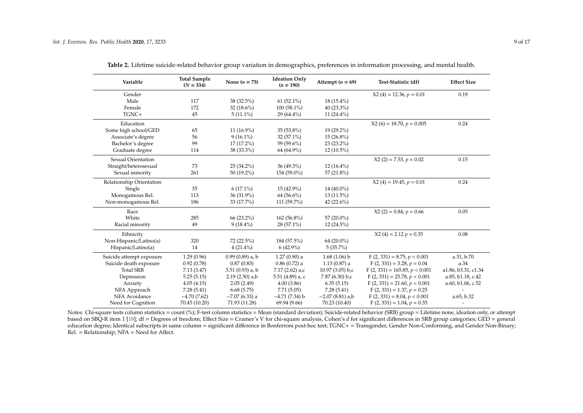| Variable                 | <b>Total Sample</b><br>$(N = 334)$ | None $(n = 75)$   | <b>Ideation Only</b><br>$(n = 190)$ | Attempt $(n = 69)$ | Test-Statistic (df)             | <b>Effect Size</b>  |
|--------------------------|------------------------------------|-------------------|-------------------------------------|--------------------|---------------------------------|---------------------|
| Gender                   |                                    |                   |                                     |                    | $X2(4) = 12.36, p = 0.01$       | 0.19                |
| Male                     | 117                                | 38 (32.5%)        | $61(52.1\%)$                        | $18(15.4\%)$       |                                 |                     |
| Female                   | 172                                | 32 $(18.6\%)$     | $100(58.1\%)$                       | $40(23.3\%)$       |                                 |                     |
| TGNC+                    | 45                                 | $5(11.1\%)$       | 29 (64.4%)                          | 11 $(24.4\%)$      |                                 |                     |
| Education                |                                    |                   |                                     |                    | $X2(6) = 18.70, p = 0.005$      | 0.24                |
| Some high school/GED     | 65                                 | 11 $(16.9\%)$     | 35 (53.8%)                          | 19 (29.2%)         |                                 |                     |
| Associate's degree       | 56                                 | $9(16.1\%)$       | $32(57.1\%)$                        | $15(26.8\%)$       |                                 |                     |
| Bachelor's degree        | 99                                 | $17(17.2\%)$      | 59 (59.6%)                          | 23 (23.2%)         |                                 |                     |
| Graduate degree          | 114                                | 38 (33.3%)        | 64 (64.9%)                          | $12(10.5\%)$       |                                 |                     |
| Sexual Orientation       |                                    |                   |                                     |                    | $X2(2) = 7.53, p = 0.02$        | 0.15                |
| Straight/heterosexual    | 73                                 | $25(34.2\%)$      | 36 (49.3%)                          | $12(16.4\%)$       |                                 |                     |
| Sexual minority          | 261                                | 50 $(19.2\%)$     | 154 (59.0%)                         | 57 (21.8%)         |                                 |                     |
| Relationship Orientation |                                    |                   |                                     |                    | $X2(4) = 19.45, p = 0.01$       | 0.24                |
| Single                   | 35                                 | $6(17.1\%)$       | 15 (42.9%)                          | 14 (40.0%)         |                                 |                     |
| Monogamous Rel.          | 113                                | 36 (31.9%)        | 64 (56.6%)                          | 13 (11.5%)         |                                 |                     |
| Non-monogamous Rel.      | 186                                | 33 (17.7%)        | 111 (59.7%)                         | 42 (22.6%)         |                                 |                     |
| Race                     |                                    |                   |                                     |                    | $X2(2) = 0.84, p = 0.66$        | 0.05                |
| White                    | 285                                | 66 (23.2%)        | 162 (56.8%)                         | 57 $(20.0\%)$      |                                 |                     |
| Racial minority          | 49                                 | $9(18.4\%)$       | $28(57.1\%)$                        | $12(24.5\%)$       |                                 |                     |
| Ethnicity                |                                    |                   |                                     |                    | $X2(4) = 2.12 p = 0.35$         | 0.08                |
| Non-Hispanic/Latino(a)   | 320                                | 72 (22.5%)        | 184 (57.5%)                         | 64 (20.0%)         |                                 |                     |
| Hispanic/Latino(a)       | 14                                 | $4(21.4\%)$       | $6(42.9\%)$                         | $5(35.7\%)$        |                                 |                     |
| Suicide attempt exposure | 1.29(0.96)                         | $0.99(0.89)$ a, b | $1.27(0.90)$ a                      | $1.68(1.06)$ b     | $F(2, 331) = 8.75, p < 0.001$   | a.31, b.70          |
| Suicide death exposure   | 0.92(0.78)                         | 0.87(0.83)        | $0.86(0.72)$ a                      | $1.13(0.87)$ a     | $F(2, 331) = 3.28, p = 0.04$    | a.34                |
| <b>Total SRB</b>         | 7.13(3.47)                         | $3.51(0.93)$ a, b | $7.17(2.62)$ a,c                    | $10.97(3.05)$ b,c  | $F(2, 331) = 165.85, p < 0.001$ | a1.86, b3.31, c1.34 |
| Depression               | 5.25(5.15)                         | $2.19(2.50)$ a,b  | 5.51 $(4.89)$ a, c                  | $7.87(6.30)$ b,c   | $F(2, 331) = 25.78, p < 0.001$  | a.85, b1.18, c.42   |
| Anxiety                  | 4.05(4.15)                         | 2.05(2.49)        | 4.00(3.86)                          | 6.35(5.15)         | $F(2, 331) = 21.60, p < 0.001$  | a.60, b1.06, c.52   |
| NFA Approach             | 7.28(5.41)                         | 6.68(5.75)        | 7.71(5.05)                          | 7.28(5.41)         | $F(2, 331) = 1.37, p = 0.25$    |                     |
| NFA Avoidance            | $-4.70(7.62)$                      | $-7.07(6.33)$ a   | $-4.71(7.34)$ b                     | $-2.07(8.81)$ a,b  | $F(2, 331) = 8.04, p < 0.001$   | a.65, b.32          |
| Need for Cognition       | 70.45 (10.20)                      | 71.93 (11.28)     | 69.94 (9.66)                        | 70.23 (10.40)      | $F(2, 331) = 1.04, p = 0.35$    |                     |

**Table 2.** Lifetime suicide-related behavior group variation in demographics, preferences in information processing, and mental health.

<span id="page-10-0"></span>Notes: Chi-square tests column statistics = count (%); F-test column statistics = Mean (standard deviation); Suicide-related behavior (SRB) group = Lifetime none, ideation only, or attempt based on SBQ-R item 1 [\[18\]](#page-16-20); df = Degrees of freedom; Effect Size = Cramer's V for chi-square analysis, Cohen's *d* for significant differences in SRB group categories; GED = general education degree; Identical subscripts in same column = significant difference in Bonferroni post-hoc test; TGNC+ = Transgender, Gender Non-Conforming, and Gender Non-Binary; Rel. = Relationship; NFA = Need for Affect.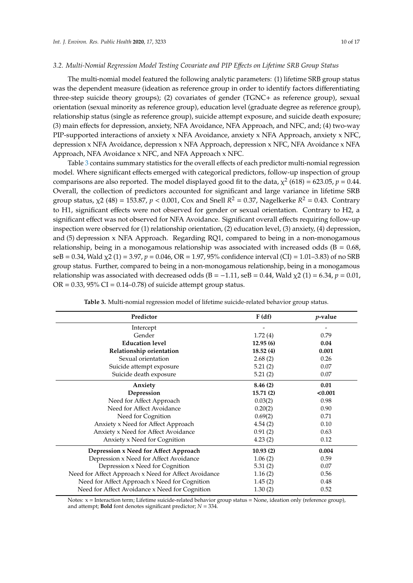#### *3.2. Multi-Nomial Regression Model Testing Covariate and PIP E*ff*ects on Lifetime SRB Group Status*

The multi-nomial model featured the following analytic parameters: (1) lifetime SRB group status was the dependent measure (ideation as reference group in order to identify factors differentiating three-step suicide theory groups); (2) covariates of gender (TGNC+ as reference group), sexual orientation (sexual minority as reference group), education level (graduate degree as reference group), relationship status (single as reference group), suicide attempt exposure, and suicide death exposure; (3) main effects for depression, anxiety, NFA Avoidance, NFA Approach, and NFC, and; (4) two-way PIP-supported interactions of anxiety x NFA Avoidance, anxiety x NFA Approach, anxiety x NFC, depression x NFA Avoidance, depression x NFA Approach, depression x NFC, NFA Avoidance x NFA Approach, NFA Avoidance x NFC, and NFA Approach x NFC.

Table [3](#page-11-0) contains summary statistics for the overall effects of each predictor multi-nomial regression model. Where significant effects emerged with categorical predictors, follow-up inspection of group comparisons are also reported. The model displayed good fit to the data,  $\chi^2$  (618) = 623.05, *p* = 0.44. Overall, the collection of predictors accounted for significant and large variance in lifetime SRB group status,  $\chi$ 2 (48) = 153.87, *p* < 0.001, Cox and Snell *R*<sup>2</sup> = 0.37, Nagelkerke *R*<sup>2</sup> = 0.43. Contrary to H1, significant effects were not observed for gender or sexual orientation. Contrary to H2, a significant effect was not observed for NFA Avoidance. Significant overall effects requiring follow-up inspection were observed for (1) relationship orientation, (2) education level, (3) anxiety, (4) depression, and  $(5)$  depression x NFA Approach. Regarding RQ1, compared to being in a non-monogamous relationship, being in a monogamous relationship was associated with increased odds ( $B = 0.68$ , seB = 0.34, Wald χ2 (1) = 3.97, *p* = 0.046, OR = 1.97, 95% confidence interval (CI) = 1.01–3.83) of no SRB group status. Further, compared to being in a non-monogamous relationship, being in a monogamous relationship was associated with decreased odds  $(B = -1.11$ , seB = 0.44, Wald  $\chi$ 2 (1) = 6.34, *p* = 0.01,  $OR = 0.33$ , 95%  $CI = 0.14 - 0.78$  of suicide attempt group status.

<span id="page-11-0"></span>

| Predictor                                            | F(df)    | <i>p</i> -value |
|------------------------------------------------------|----------|-----------------|
| Intercept                                            |          |                 |
| Gender                                               | 1.72(4)  | 0.79            |
| <b>Education level</b>                               | 12.95(6) | 0.04            |
| Relationship orientation                             | 18.52(4) | 0.001           |
| Sexual orientation                                   | 2.68(2)  | 0.26            |
| Suicide attempt exposure                             | 5.21(2)  | 0.07            |
| Suicide death exposure                               | 5.21(2)  | 0.07            |
| Anxiety                                              | 8.46(2)  | 0.01            |
| Depression                                           | 15.71(2) | < 0.001         |
| Need for Affect Approach                             | 0.03(2)  | 0.98            |
| Need for Affect Avoidance                            | 0.20(2)  | 0.90            |
| Need for Cognition                                   | 0.69(2)  | 0.71            |
| Anxiety x Need for Affect Approach                   | 4.54(2)  | 0.10            |
| Anxiety x Need for Affect Avoidance                  | 0.91(2)  | 0.63            |
| Anxiety x Need for Cognition                         | 4.23(2)  | 0.12            |
| Depression x Need for Affect Approach                | 10.93(2) | 0.004           |
| Depression x Need for Affect Avoidance               | 1.06(2)  | 0.59            |
| Depression x Need for Cognition                      | 5.31(2)  | 0.07            |
| Need for Affect Approach x Need for Affect Avoidance | 1.16(2)  | 0.56            |
| Need for Affect Approach x Need for Cognition        | 1.45(2)  | 0.48            |
| Need for Affect Avoidance x Need for Cognition       | 1.30(2)  | 0.52            |

**Table 3.** Multi-nomial regression model of lifetime suicide-related behavior group status.

Notes: x = Interaction term; Lifetime suicide-related behavior group status = None, ideation only (reference group), and attempt; **Bold** font denotes significant predictor; *N* = 334.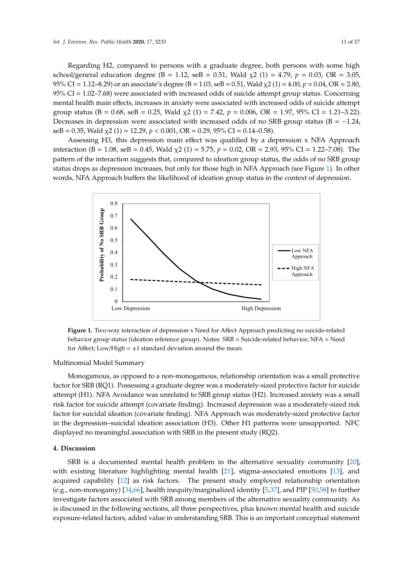Regarding H2, compared to persons with a graduate degree, both persons with some high school/general education degree (B = 1.12, seB = 0.51, Wald  $\chi$ 2 (1) = 4.79, *p* = 0.03, OR = 3.05, 95% CI = 1.12–8.29) or an associate's degree (B = 1.03, seB = 0.51, Wald χ2 (1) = 4.00, *p* = 0.04, OR = 2.80, 95% CI = 1.02–7.68) were associated with increased odds of suicide attempt group status. Concerning mental health main effects, increases in anxiety were associated with increased odds of suicide attempt group status (B = 0.68, seB = 0.25, Wald  $\chi$ 2 (1) = 7.42,  $p = 0.006$ , OR = 1.97, 95% CI = 1.21–3.22). Decreases in depression were associated with increased odds of no SRB group status ( $B = -1.24$ , seB = 0.35, Wald χ2 (1) = 12.29, *p* < 0.001, OR = 0.29, 95% CI = 0.14–0.58).

Assessing H3, this depression main effect was qualified by a depression x NFA Approach interaction (B = 1.08, seB = 0.45, Wald χ2 (1) = 5.75, *p* = 0.02, OR = 2.93, 95% CI = 1.22–7.08). The pattern of the interaction suggests that, compared to ideation group status, the odds of no SRB group status drops as depression increases, but only for those high in NFA Approach (see Figure [1\)](#page-12-0). In other words, NFA Approach buffers the likelihood of ideation group status in the context of depression.

<span id="page-12-0"></span>

**Figure 1.** Two-way interaction of depression x Need for Affect Approach predicting no suicide-related **Figure 1.** Two-way interaction of depression x Need for Affect Approach predicting no suicide-related behavior group status (ideation reference group). Notes: SRB = Suicide-related behavior; NFA = Need for Affect; Low/High =  $\pm 1$  standard deviation around the mean.

#### Multinomial Model Summary and a non-monogramous, relationship or  $\mathcal D$ protective factor for SRB (RQ1). Possessing a graduate degree was a moderately-sized protective

Monogamous, as opposed to a non-monogamous, relationship orientation was a small protective  $\alpha$  small risk factor for suicide attenpt (covariate finding). In covariate finding  $\alpha$ factor for SRB (RQ1). Possessing a graduate degree was a moderately-sized protective factor for suicide attempt (H1). NFA Avoidance was unrelated to SRB group status (H2). Increased anxiety was a small  $p$  attends attenut (covariete finding). In greened depression weeks a medi risk factor for suicide attempt (covariate finding). Increased depression was a moderately-sized risk **4. Discussion**  in the depression–suicidal ideation association (H3). Other H1 patterns were unsupported. NFC  $SPR$  is the alternative mean  $\frac{1}{2}$  and  $\frac{1}{2}$  in the alternative sexuality  $(202)$ displayed no meaningful association with SRB in the present study (RQ2). factor for suicidal ideation (covariate finding). NFA Approach was moderately-sized protective factor

#### $\mathbf n$ **4. Discussion**

SRB is a documented mental health problem in the alternative sexuality community  $\left[20\right]$ ,  $\epsilon$ -literature-highlighting montal health  $[21]$  stigma associated emiwith existing literature highlighting mental health  $[21]$ , stigma-associated emotions  $[13]$ , and acquired capability [\[12\]](#page-16-0) as risk factors. The present study employed relationship orientation (e.g., non-monogamy) [\[34](#page-17-1)[,66\]](#page-18-9), health inequity/marginalized identity [\[5](#page-15-3)[,37\]](#page-17-4), and PIP [\[50](#page-17-15)[,58\]](#page-18-1) to further  $\alpha$  as an exploratory research question (see RQ1), we observe the pattern observed and interiories patterns and interiories patterns and interiories patterns and interiories patterns and interiories patterns and interior investigate factors associated with SRB among members of the alternative sexuality community. As is discussed in the following sections, all three perspectives, plus known mental health and suicide  $t_1$  for suicide attention frequency compared to being single. The single are a few potential explanations for  $t_1$ exposure-related factors, added value in understanding SRB. This is an important conceptual statement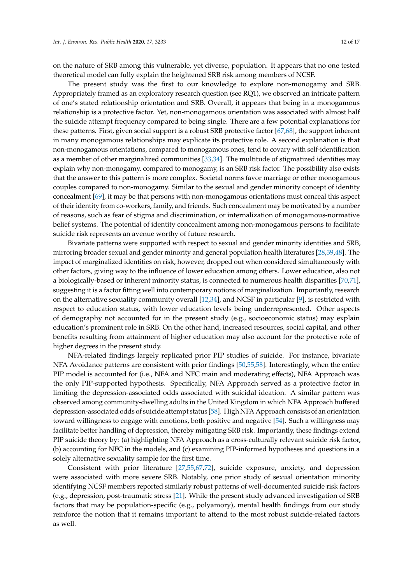on the nature of SRB among this vulnerable, yet diverse, population. It appears that no one tested theoretical model can fully explain the heightened SRB risk among members of NCSF.

The present study was the first to our knowledge to explore non-monogamy and SRB. Appropriately framed as an exploratory research question (see RQ1), we observed an intricate pattern of one's stated relationship orientation and SRB. Overall, it appears that being in a monogamous relationship is a protective factor. Yet, non-monogamous orientation was associated with almost half the suicide attempt frequency compared to being single. There are a few potential explanations for these patterns. First, given social support is a robust SRB protective factor [\[67,](#page-18-10)[68\]](#page-18-11), the support inherent in many monogamous relationships may explicate its protective role. A second explanation is that non-monogamous orientations, compared to monogamous ones, tend to covary with self-identification as a member of other marginalized communities [\[33,](#page-17-0)[34\]](#page-17-1). The multitude of stigmatized identities may explain why non-monogamy, compared to monogamy, is an SRB risk factor. The possibility also exists that the answer to this pattern is more complex. Societal norms favor marriage or other monogamous couples compared to non-monogamy. Similar to the sexual and gender minority concept of identity concealment [\[69\]](#page-18-12), it may be that persons with non-monogamous orientations must conceal this aspect of their identity from co-workers, family, and friends. Such concealment may be motivated by a number of reasons, such as fear of stigma and discrimination, or internalization of monogamous-normative belief systems. The potential of identity concealment among non-monogamous persons to facilitate suicide risk represents an avenue worthy of future research.

Bivariate patterns were supported with respect to sexual and gender minority identities and SRB, mirroring broader sexual and gender minority and general population health literatures [\[28,](#page-16-15)[39](#page-17-6)[,48\]](#page-17-13). The impact of marginalized identities on risk, however, dropped out when considered simultaneously with other factors, giving way to the influence of lower education among others. Lower education, also not a biologically-based or inherent minority status, is connected to numerous health disparities [\[70,](#page-18-13)[71\]](#page-18-14), suggesting it is a factor fitting well into contemporary notions of marginalization. Importantly, research on the alternative sexuality community overall  $[12,34]$  $[12,34]$ , and NCSF in particular  $[9]$ , is restricted with respect to education status, with lower education levels being underrepresented. Other aspects of demography not accounted for in the present study (e.g., socioeconomic status) may explain education's prominent role in SRB. On the other hand, increased resources, social capital, and other benefits resulting from attainment of higher education may also account for the protective role of higher degrees in the present study.

NFA-related findings largely replicated prior PIP studies of suicide. For instance, bivariate NFA Avoidance patterns are consistent with prior findings [\[50](#page-17-15)[,55](#page-17-20)[,58\]](#page-18-1). Interestingly, when the entire PIP model is accounted for (i.e., NFA and NFC main and moderating effects), NFA Approach was the only PIP-supported hypothesis. Specifically, NFA Approach served as a protective factor in limiting the depression-associated odds associated with suicidal ideation. A similar pattern was observed among community-dwelling adults in the United Kingdom in which NFA Approach buffered depression-associated odds of suicide attempt status [\[58\]](#page-18-1). High NFA Approach consists of an orientation toward willingness to engage with emotions, both positive and negative [\[54\]](#page-17-19). Such a willingness may facilitate better handling of depression, thereby mitigating SRB risk. Importantly, these findings extend PIP suicide theory by: (a) highlighting NFA Approach as a cross-culturally relevant suicide risk factor, (b) accounting for NFC in the models, and (c) examining PIP-informed hypotheses and questions in a solely alternative sexuality sample for the first time.

Consistent with prior literature [\[27,](#page-16-14)[55,](#page-17-20)[67,](#page-18-10)[72\]](#page-18-15), suicide exposure, anxiety, and depression were associated with more severe SRB. Notably, one prior study of sexual orientation minority identifying NCSF members reported similarly robust patterns of well-documented suicide risk factors (e.g., depression, post-traumatic stress [\[21\]](#page-16-8). While the present study advanced investigation of SRB factors that may be population-specific (e.g., polyamory), mental health findings from our study reinforce the notion that it remains important to attend to the most robust suicide-related factors as well.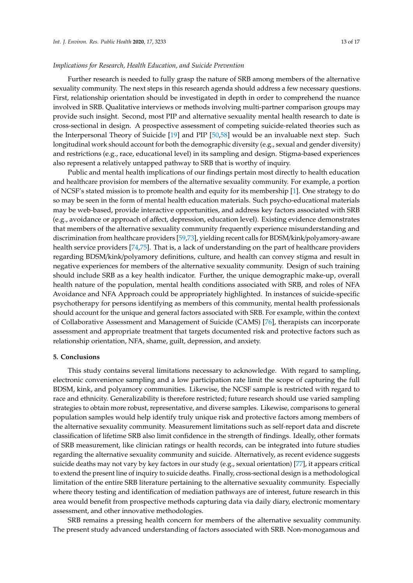#### *Implications for Research, Health Education, and Suicide Prevention*

Further research is needed to fully grasp the nature of SRB among members of the alternative sexuality community. The next steps in this research agenda should address a few necessary questions. First, relationship orientation should be investigated in depth in order to comprehend the nuance involved in SRB. Qualitative interviews or methods involving multi-partner comparison groups may provide such insight. Second, most PIP and alternative sexuality mental health research to date is cross-sectional in design. A prospective assessment of competing suicide-related theories such as the Interpersonal Theory of Suicide [\[19\]](#page-16-6) and PIP [\[50](#page-17-15)[,58\]](#page-18-1) would be an invaluable next step. Such longitudinal work should account for both the demographic diversity (e.g., sexual and gender diversity) and restrictions (e.g., race, educational level) in its sampling and design. Stigma-based experiences also represent a relatively untapped pathway to SRB that is worthy of inquiry.

Public and mental health implications of our findings pertain most directly to health education and healthcare provision for members of the alternative sexuality community. For example, a portion of NCSF's stated mission is to promote health and equity for its membership [\[1\]](#page-15-0). One strategy to do so may be seen in the form of mental health education materials. Such psycho-educational materials may be web-based, provide interactive opportunities, and address key factors associated with SRB (e.g., avoidance or approach of affect, depression, education level). Existing evidence demonstrates that members of the alternative sexuality community frequently experience misunderstanding and discrimination from healthcare providers [\[59,](#page-18-2)[73\]](#page-18-16), yielding recent calls for BDSM/kink/polyamory-aware health service providers [\[74](#page-18-17)[,75\]](#page-18-18). That is, a lack of understanding on the part of healthcare providers regarding BDSM/kink/polyamory definitions, culture, and health can convey stigma and result in negative experiences for members of the alternative sexuality community. Design of such training should include SRB as a key health indicator. Further, the unique demographic make-up, overall health nature of the population, mental health conditions associated with SRB, and roles of NFA Avoidance and NFA Approach could be appropriately highlighted. In instances of suicide-specific psychotherapy for persons identifying as members of this community, mental health professionals should account for the unique and general factors associated with SRB. For example, within the context of Collaborative Assessment and Management of Suicide (CAMS) [\[76\]](#page-18-19), therapists can incorporate assessment and appropriate treatment that targets documented risk and protective factors such as relationship orientation, NFA, shame, guilt, depression, and anxiety.

#### **5. Conclusions**

This study contains several limitations necessary to acknowledge. With regard to sampling, electronic convenience sampling and a low participation rate limit the scope of capturing the full BDSM, kink, and polyamory communities. Likewise, the NCSF sample is restricted with regard to race and ethnicity. Generalizability is therefore restricted; future research should use varied sampling strategies to obtain more robust, representative, and diverse samples. Likewise, comparisons to general population samples would help identify truly unique risk and protective factors among members of the alternative sexuality community. Measurement limitations such as self-report data and discrete classification of lifetime SRB also limit confidence in the strength of findings. Ideally, other formats of SRB measurement, like clinician ratings or health records, can be integrated into future studies regarding the alternative sexuality community and suicide. Alternatively, as recent evidence suggests suicide deaths may not vary by key factors in our study (e.g., sexual orientation) [\[77\]](#page-18-20), it appears critical to extend the present line of inquiry to suicide deaths. Finally, cross-sectional design is a methodological limitation of the entire SRB literature pertaining to the alternative sexuality community. Especially where theory testing and identification of mediation pathways are of interest, future research in this area would benefit from prospective methods capturing data via daily diary, electronic momentary assessment, and other innovative methodologies.

SRB remains a pressing health concern for members of the alternative sexuality community. The present study advanced understanding of factors associated with SRB. Non-monogamous and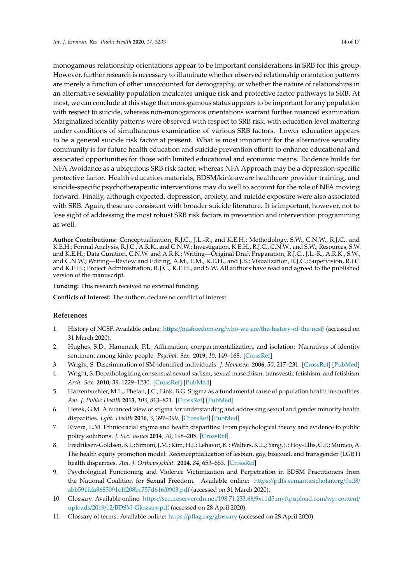monogamous relationship orientations appear to be important considerations in SRB for this group. However, further research is necessary to illuminate whether observed relationship orientation patterns are merely a function of other unaccounted for demography, or whether the nature of relationships in an alternative sexuality population inculcates unique risk and protective factor pathways to SRB. At most, we can conclude at this stage that monogamous status appears to be important for any population with respect to suicide, whereas non-monogamous orientations warrant further nuanced examination. Marginalized identity patterns were observed with respect to SRB risk, with education level mattering under conditions of simultaneous examination of various SRB factors. Lower education appears to be a general suicide risk factor at present. What is most important for the alternative sexuality community is for future health education and suicide prevention efforts to enhance educational and associated opportunities for those with limited educational and economic means. Evidence builds for NFA Avoidance as a ubiquitous SRB risk factor, whereas NFA Approach may be a depression-specific protective factor. Health education materials, BDSM/kink-aware healthcare provider training, and suicide-specific psychotherapeutic interventions may do well to account for the role of NFA moving forward. Finally, although expected, depression, anxiety, and suicide exposure were also associated with SRB. Again, these are consistent with broader suicide literature. It is important, however, not to lose sight of addressing the most robust SRB risk factors in prevention and intervention programming as well.

**Author Contributions:** Conceptualization, R.J.C., J.L.-R., and K.E.H.; Methodology, S.W., C.N.W., R.J.C., and K.E.H.; Formal Analysis, R.J.C., A.R.K., and C.N.W.; Investigation, K.E.H., R.J.C., C.N.W., and S.W.; Resources, S.W. and K.E.H.; Data Curation, C.N.W. and A.R.K.; Writing—Original Draft Preparation, R.J.C., J.L.-R., A.R.K., S.W., and C.N.W.; Writing—Review and Editing, A.M., E.M., K.E.H., and J.B.; Visualization, R.J.C.; Supervision, R.J.C. and K.E.H.; Project Administration, R.J.C., K.E.H., and S.W. All authors have read and agreed to the published version of the manuscript.

**Funding:** This research received no external funding.

**Conflicts of Interest:** The authors declare no conflict of interest.

#### **References**

- <span id="page-15-0"></span>1. History of NCSF. Available online: https://ncsfreedom.org/who-we-are/[the-history-of-the-ncsf](https://ncsfreedom.org/who-we-are/the-history-of-the-ncsf/)/ (accessed on 31 March 2020).
- <span id="page-15-1"></span>2. Hughes, S.D.; Hammack, P.L. Affirmation, compartmentalization, and isolation: Narratives of identity sentiment among kinky people. *Psychol. Sex.* **2019**, *10*, 149–168. [\[CrossRef\]](http://dx.doi.org/10.1080/19419899.2019.1575896)
- 3. Wright, S. Discrimination of SM-identified individuals. *J. Homosex.* **2006**, *50*, 217–231. [\[CrossRef\]](http://dx.doi.org/10.1300/J082v50n02_10) [\[PubMed\]](http://www.ncbi.nlm.nih.gov/pubmed/16803765)
- <span id="page-15-2"></span>4. Wright, S. Depathologizing consensual sexual sadism, sexual masochism, transvestic fetishism, and fetishism. *Arch. Sex.* **2010**, *39*, 1229–1230. [\[CrossRef\]](http://dx.doi.org/10.1007/s10508-010-9651-y) [\[PubMed\]](http://www.ncbi.nlm.nih.gov/pubmed/20632078)
- <span id="page-15-3"></span>5. Hatzenbuehler, M.L.; Phelan, J.C.; Link, B.G. Stigma as a fundamental cause of population health inequalities. *Am. J. Public Health* **2013**, *103*, 813–821. [\[CrossRef\]](http://dx.doi.org/10.2105/AJPH.2012.301069) [\[PubMed\]](http://www.ncbi.nlm.nih.gov/pubmed/23488505)
- 6. Herek, G.M. A nuanced view of stigma for understanding and addressing sexual and gender minority health disparities. *Lgbt. Health* **2016**, *3*, 397–399. [\[CrossRef\]](http://dx.doi.org/10.1089/lgbt.2016.0154) [\[PubMed\]](http://www.ncbi.nlm.nih.gov/pubmed/27828720)
- <span id="page-15-4"></span>7. Rivera, L.M. Ethnic-racial stigma and health disparities: From psychological theory and evidence to public policy solutions. *J. Soc. Issues* **2014**, *70*, 198–205. [\[CrossRef\]](http://dx.doi.org/10.1111/josi.12055)
- <span id="page-15-5"></span>8. Fredriksen-Goldsen, K.I.; Simoni, J.M.; Kim, H.J.; Lehavot, K.; Walters, K.L.; Yang, J.; Hoy-Ellis, C.P.; Muraco, A. The health equity promotion model: Reconceptualization of lesbian, gay, bisexual, and transgender (LGBT) health disparities. *Am. J. Orthopsychiat.* **2014**, *84*, 653–663. [\[CrossRef\]](http://dx.doi.org/10.1037/ort0000030)
- <span id="page-15-6"></span>9. Psychological Functioning and Violence Victimization and Perpetration in BDSM Practitioners from the National Coalition for Sexual Freedom. Available online: https://[pdfs.semanticscholar.org](https://pdfs.semanticscholar.org/0cd8/abb591fda8685091c1f208bc757d616f0903.pdf)/0cd8/ [abb591fda8685091c1f208bc757d616f0903.pdf](https://pdfs.semanticscholar.org/0cd8/abb591fda8685091c1f208bc757d616f0903.pdf) (accessed on 31 March 2020).
- <span id="page-15-8"></span>10. Glossary. Available online: https://secureservercdn.net/198.71.233.68/[9xj.1d5.myftpupload.com](https://secureservercdn.net/198.71.233.68/9xj.1d5.myftpupload.com/wp-content/uploads/2019/12/BDSM-Glossary.pdf)/wp-content/ uploads/2019/12/[BDSM-Glossary.pdf](https://secureservercdn.net/198.71.233.68/9xj.1d5.myftpupload.com/wp-content/uploads/2019/12/BDSM-Glossary.pdf) (accessed on 28 April 2020).
- <span id="page-15-7"></span>11. Glossary of terms. Available online: https://[pflag.org](https://pflag.org/glossary)/glossary (accessed on 28 April 2020).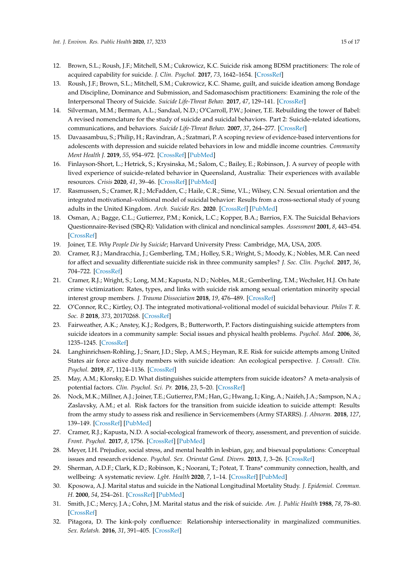- <span id="page-16-20"></span><span id="page-16-0"></span>12. Brown, S.L.; Roush, J.F.; Mitchell, S.M.; Cukrowicz, K.C. Suicide risk among BDSM practitioners: The role of acquired capability for suicide. *J. Clin. Psychol.* **2017**, *73*, 1642–1654. [\[CrossRef\]](http://dx.doi.org/10.1002/jclp.22461)
- <span id="page-16-1"></span>13. Roush, J.F.; Brown, S.L.; Mitchell, S.M.; Cukrowicz, K.C. Shame, guilt, and suicide ideation among Bondage and Discipline, Dominance and Submission, and Sadomasochism practitioners: Examining the role of the Interpersonal Theory of Suicide. *Suicide Life-Threat Behav.* **2017**, *47*, 129–141. [\[CrossRef\]](http://dx.doi.org/10.1111/sltb.12267)
- <span id="page-16-2"></span>14. Silverman, M.M.; Berman, A.L.; Sandaal, N.D.; O'Carroll, P.W.; Joiner, T.E. Rebuilding the tower of Babel: A revised nomenclature for the study of suicide and suicidal behaviors. Part 2: Suicide-related ideations, communications, and behaviors. *Suicide Life-Threat Behav.* **2007**, *37*, 264–277. [\[CrossRef\]](http://dx.doi.org/10.1521/suli.2007.37.3.264)
- <span id="page-16-3"></span>15. Davaasambuu, S.; Philip, H.; Ravindran, A.; Szatmari, P. A scoping review of evidence-based interventions for adolescents with depression and suicide related behaviors in low and middle income countries. *Community Ment Health J.* **2019**, *55*, 954–972. [\[CrossRef\]](http://dx.doi.org/10.1007/s10597-019-00420-w) [\[PubMed\]](http://www.ncbi.nlm.nih.gov/pubmed/31161577)
- <span id="page-16-4"></span>16. Finlayson-Short, L.; Hetrick, S.; Krysinska, M.; Salom, C.; Bailey, E.; Robinson, J. A survey of people with lived experience of suicide-related behavior in Queensland, Australia: Their experiences with available resources. *Crisis* **2020**, *41*, 39–46. [\[CrossRef\]](http://dx.doi.org/10.1027/0227-5910/a000602) [\[PubMed\]](http://www.ncbi.nlm.nih.gov/pubmed/31140316)
- 17. Rasmussen, S.; Cramer, R.J.; McFadden, C.; Haile, C.R.; Sime, V.L.; Wilsey, C.N. Sexual orientation and the integrated motivational–volitional model of suicidal behavior: Results from a cross-sectional study of young adults in the United Kingdom. *Arch. Suicide Res.* **2020**. [\[CrossRef\]](http://dx.doi.org/10.1080/13811118.2019.1691693) [\[PubMed\]](http://www.ncbi.nlm.nih.gov/pubmed/31769357)
- <span id="page-16-5"></span>18. Osman, A.; Bagge, C.L.; Gutierrez, P.M.; Konick, L.C.; Kopper, B.A.; Barrios, F.X. The Suicidal Behaviors Questionnaire-Revised (SBQ-R): Validation with clinical and nonclinical samples. *Assessment* **2001**, *8*, 443–454. [\[CrossRef\]](http://dx.doi.org/10.1177/107319110100800409)
- <span id="page-16-6"></span>19. Joiner, T.E. *Why People Die by Suicide*; Harvard University Press: Cambridge, MA, USA, 2005.
- <span id="page-16-7"></span>20. Cramer, R.J.; Mandracchia, J.; Gemberling, T.M.; Holley, S.R.; Wright, S.; Moody, K.; Nobles, M.R. Can need for affect and sexuality differentiate suicide risk in three community samples? *J. Soc. Clin. Psychol.* **2017**, *36*, 704–722. [\[CrossRef\]](http://dx.doi.org/10.1521/jscp.2017.36.8.704)
- <span id="page-16-8"></span>21. Cramer, R.J.; Wright, S.; Long, M.M.; Kapusta, N.D.; Nobles, M.R.; Gemberling, T.M.; Wechsler, H.J. On hate crime victimization: Rates, types, and links with suicide risk among sexual orientation minority special interest group members. *J. Trauma Dissociation* **2018**, *19*, 476–489. [\[CrossRef\]](http://dx.doi.org/10.1080/15299732.2018.1451972)
- <span id="page-16-9"></span>22. O'Connor, R.C.; Kirtley, O.J. The integrated motivational-volitional model of suicidal behaviour. *Philos T. R. Soc. B* **2018**, *373*, 20170268. [\[CrossRef\]](http://dx.doi.org/10.1098/rstb.2017.0268)
- <span id="page-16-10"></span>23. Fairweather, A.K.; Anstey, K.J.; Rodgers, B.; Butterworth, P. Factors distinguishing suicide attempters from suicide ideators in a community sample: Social issues and physical health problems. *Psychol. Med.* **2006**, *36*, 1235–1245. [\[CrossRef\]](http://dx.doi.org/10.1017/S0033291706007823)
- <span id="page-16-12"></span>24. Langhinrichsen-Rohling, J.; Snarr, J.D.; Slep, A.M.S.; Heyman, R.E. Risk for suicide attempts among United States air force active duty members with suicide ideation: An ecological perspective. *J. Consult. Clin. Psychol.* **2019**, *87*, 1124–1136. [\[CrossRef\]](http://dx.doi.org/10.1037/ccp0000435)
- <span id="page-16-11"></span>25. May, A.M.; Klonsky, E.D. What distinguishes suicide attempters from suicide ideators? A meta-analysis of potential factors. *Clin. Psychol. Sci. Pr.* **2016**, *23*, 5–20. [\[CrossRef\]](http://dx.doi.org/10.1111/cpsp.12136)
- <span id="page-16-13"></span>26. Nock, M.K.; Millner, A.J.; Joiner, T.E.; Gutierrez, P.M.; Han, G.; Hwang, I.; King, A.; Naifeh, J.A.; Sampson, N.A.; Zaslavsky, A.M.; et al. Risk factors for the transition from suicide ideation to suicide attempt: Results from the army study to assess risk and resilience in Servicemembers (Army STARRS). *J. Abnorm.* **2018**, *127*, 139–149. [\[CrossRef\]](http://dx.doi.org/10.1037/abn0000317) [\[PubMed\]](http://www.ncbi.nlm.nih.gov/pubmed/29528668)
- <span id="page-16-14"></span>27. Cramer, R.J.; Kapusta, N.D. A social-ecological framework of theory, assessment, and prevention of suicide. *Front. Psychol.* **2017**, *8*, 1756. [\[CrossRef\]](http://dx.doi.org/10.3389/fpsyg.2017.01756) [\[PubMed\]](http://www.ncbi.nlm.nih.gov/pubmed/29062296)
- <span id="page-16-15"></span>28. Meyer, I.H. Prejudice, social stress, and mental health in lesbian, gay, and bisexual populations: Conceptual issues and research evidence. *Psychol. Sex. Orientat Gend. Divers.* **2013**, *1*, 3–26. [\[CrossRef\]](http://dx.doi.org/10.1037/2329-0382.1.S.3)
- <span id="page-16-16"></span>29. Sherman, A.D.F.; Clark, K.D.; Robinson, K.; Noorani, T.; Poteat, T. Trans\* community connection, health, and wellbeing: A systematic review. *Lgbt. Health* **2020**, *7*, 1–14. [\[CrossRef\]](http://dx.doi.org/10.1089/lgbt.2019.0014) [\[PubMed\]](http://www.ncbi.nlm.nih.gov/pubmed/31794289)
- <span id="page-16-17"></span>30. Kposowa, A.J. Marital status and suicide in the National Longitudinal Mortality Study. *J. Epidemiol. Commun. H.* **2000**, *54*, 254–261. [\[CrossRef\]](http://dx.doi.org/10.1136/jech.54.4.254) [\[PubMed\]](http://www.ncbi.nlm.nih.gov/pubmed/10827907)
- <span id="page-16-18"></span>31. Smith, J.C.; Mercy, J.A.; Cohn, J.M. Marital status and the risk of suicide. *Am. J. Public Health* **1988**, *78*, 78–80. [\[CrossRef\]](http://dx.doi.org/10.2105/AJPH.78.1.78)
- <span id="page-16-19"></span>32. Pitagora, D. The kink-poly confluence: Relationship intersectionality in marginalized communities. *Sex. Relatsh.* **2016**, *31*, 391–405. [\[CrossRef\]](http://dx.doi.org/10.1080/14681994.2016.1156081)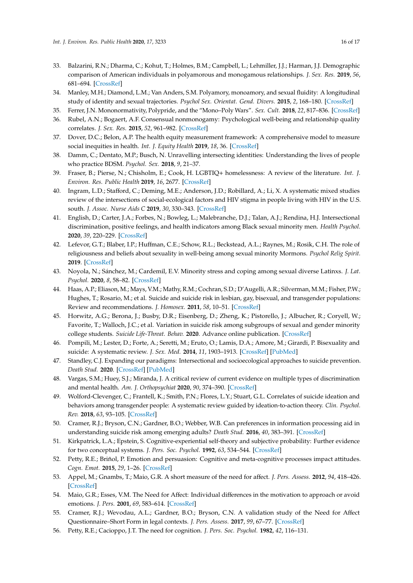- <span id="page-17-0"></span>33. Balzarini, R.N.; Dharma, C.; Kohut, T.; Holmes, B.M.; Campbell, L.; Lehmiller, J.J.; Harman, J.J. Demographic comparison of American individuals in polyamorous and monogamous relationships. *J. Sex. Res.* **2019**, *56*, 681–694. [\[CrossRef\]](http://dx.doi.org/10.1080/00224499.2018.1474333)
- <span id="page-17-1"></span>34. Manley, M.H.; Diamond, L.M.; Van Anders, S.M. Polyamory, monoamory, and sexual fluidity: A longitudinal study of identity and sexual trajectories. *Psychol Sex. Orientat. Gend. Divers.* **2015**, *2*, 168–180. [\[CrossRef\]](http://dx.doi.org/10.1037/sgd0000098)
- <span id="page-17-2"></span>35. Ferrer, J.N. Mononormativity, Polypride, and the "Mono–Poly Wars". *Sex. Cult.* **2018**, *22*, 817–836. [\[CrossRef\]](http://dx.doi.org/10.1007/s12119-017-9494-y)
- <span id="page-17-3"></span>36. Rubel, A.N.; Bogaert, A.F. Consensual nonmonogamy: Psychological well-being and relationship quality correlates. *J. Sex. Res.* **2015**, *52*, 961–982. [\[CrossRef\]](http://dx.doi.org/10.1080/00224499.2014.942722)
- <span id="page-17-4"></span>37. Dover, D.C.; Belon, A.P. The health equity measurement framework: A comprehensive model to measure social inequities in health. *Int. J. Equity Health* **2019**, *18*, 36. [\[CrossRef\]](http://dx.doi.org/10.1186/s12939-019-0935-0)
- <span id="page-17-5"></span>38. Damm, C.; Dentato, M.P.; Busch, N. Unravelling intersecting identities: Understanding the lives of people who practice BDSM. *Psychol. Sex.* **2018**, *9*, 21–37.
- <span id="page-17-6"></span>39. Fraser, B.; Pierse, N.; Chisholm, E.; Cook, H. LGBTIQ+ homelessness: A review of the literature. *Int. J. Environ. Res. Public Health* **2019**, *16*, 2677. [\[CrossRef\]](http://dx.doi.org/10.3390/ijerph16152677)
- <span id="page-17-7"></span>40. Ingram, L.D.; Stafford, C.; Deming, M.E.; Anderson, J.D.; Robillard, A.; Li, X. A systematic mixed studies review of the intersections of social-ecological factors and HIV stigma in people living with HIV in the U.S. south. *J. Assoc. Nurse Aids C* **2019**, *30*, 330–343. [\[CrossRef\]](http://dx.doi.org/10.1097/JNC.0000000000000076)
- <span id="page-17-8"></span>41. English, D.; Carter, J.A.; Forbes, N.; Bowleg, L.; Malebranche, D.J.; Talan, A.J.; Rendina, H.J. Intersectional discrimination, positive feelings, and health indicators among Black sexual minority men. *Health Psychol.* **2020**, *39*, 220–229. [\[CrossRef\]](http://dx.doi.org/10.1037/hea0000837)
- 42. Lefevor, G.T.; Blaber, I.P.; Huffman, C.E.; Schow, R.L.; Beckstead, A.L.; Raynes, M.; Rosik, C.H. The role of religiousness and beliefs about sexuality in well-being among sexual minority Mormons. *Psychol Relig Spirit.* **2019**. [\[CrossRef\]](http://dx.doi.org/10.1037/rel0000261)
- <span id="page-17-9"></span>43. Noyola, N.; Sánchez, M.; Cardemil, E.V. Minority stress and coping among sexual diverse Latinxs. *J. Lat. Psychol.* **2020**, *8*, 58–82. [\[CrossRef\]](http://dx.doi.org/10.1037/lat0000143)
- <span id="page-17-10"></span>44. Haas, A.P.; Eliason, M.; Mays, V.M.; Mathy, R.M.; Cochran, S.D.; D'Augelli, A.R.; Silverman, M.M.; Fisher, P.W.; Hughes, T.; Rosario, M.; et al. Suicide and suicide risk in lesbian, gay, bisexual, and transgender populations: Review and recommendations. *J. Homosex.* **2011**, *58*, 10–51. [\[CrossRef\]](http://dx.doi.org/10.1080/00918369.2011.534038)
- 45. Horwitz, A.G.; Berona, J.; Busby, D.R.; Eisenberg, D.; Zheng, K.; Pistorello, J.; Albucher, R.; Coryell, W.; Favorite, T.; Walloch, J.C.; et al. Variation in suicide risk among subgroups of sexual and gender minority college students. *Suicide Life-Threat. Behav.* **2020**. Advance online publication. [\[CrossRef\]](http://dx.doi.org/10.1111/sltb.12637)
- <span id="page-17-11"></span>46. Pompili, M.; Lester, D.; Forte, A.; Seretti, M.; Eruto, O.; Lamis, D.A.; Amore, M.; Girardi, P. Bisexuality and suicide: A systematic review. *J. Sex. Med.* **2014**, *11*, 1903–1913. [\[CrossRef\]](http://dx.doi.org/10.1111/jsm.12581) [\[PubMed\]](http://www.ncbi.nlm.nih.gov/pubmed/24839908)
- <span id="page-17-12"></span>47. Standley, C.J. Expanding our paradigms: Intersectional and socioecological approaches to suicide prevention. *Death Stud.* **2020**. [\[CrossRef\]](http://dx.doi.org/10.1080/07481187.2020.1725934) [\[PubMed\]](http://www.ncbi.nlm.nih.gov/pubmed/32048555)
- <span id="page-17-13"></span>48. Vargas, S.M.; Huey, S.J.; Miranda, J. A critical review of current evidence on multiple types of discrimination and mental health. *Am. J. Orthopsychiat* **2020**, *90*, 374–390. [\[CrossRef\]](http://dx.doi.org/10.1037/ort0000441)
- <span id="page-17-14"></span>49. Wolford-Clevenger, C.; Frantell, K.; Smith, P.N.; Flores, L.Y.; Stuart, G.L. Correlates of suicide ideation and behaviors among transgender people: A systematic review guided by ideation-to-action theory. *Clin. Psychol. Rev.* **2018**, *63*, 93–105. [\[CrossRef\]](http://dx.doi.org/10.1016/j.cpr.2018.06.009)
- <span id="page-17-15"></span>50. Cramer, R.J.; Bryson, C.N.; Gardner, B.O.; Webber, W.B. Can preferences in information processing aid in understanding suicide risk among emerging adults? *Death Stud.* **2016**, *40*, 383–391. [\[CrossRef\]](http://dx.doi.org/10.1080/07481187.2016.1166161)
- <span id="page-17-16"></span>51. Kirkpatrick, L.A.; Epstein, S. Cognitive-experiential self-theory and subjective probability: Further evidence for two conceptual systems. *J. Pers. Soc. Psychol.* **1992**, *63*, 534–544. [\[CrossRef\]](http://dx.doi.org/10.1037/0022-3514.63.4.534)
- <span id="page-17-17"></span>52. Petty, R.E.; Briñol, P. Emotion and persuasion: Cognitive and meta-cognitive processes impact attitudes. *Cogn. Emot.* **2015**, *29*, 1–26. [\[CrossRef\]](http://dx.doi.org/10.1080/02699931.2014.967183)
- <span id="page-17-18"></span>53. Appel, M.; Gnambs, T.; Maio, G.R. A short measure of the need for affect. *J. Pers. Assess.* **2012**, *94*, 418–426. [\[CrossRef\]](http://dx.doi.org/10.1080/00223891.2012.666921)
- <span id="page-17-19"></span>54. Maio, G.R.; Esses, V.M. The Need for Affect: Individual differences in the motivation to approach or avoid emotions. *J. Pers.* **2001**, *69*, 583–614. [\[CrossRef\]](http://dx.doi.org/10.1111/1467-6494.694156)
- <span id="page-17-20"></span>55. Cramer, R.J.; Wevodau, A.L.; Gardner, B.O.; Bryson, C.N. A validation study of the Need for Affect Questionnaire–Short Form in legal contexts. *J. Pers. Assess.* **2017**, *99*, 67–77. [\[CrossRef\]](http://dx.doi.org/10.1080/00223891.2016.1205076)
- <span id="page-17-21"></span>56. Petty, R.E.; Cacioppo, J.T. The need for cognition. *J. Pers. Soc. Psychol.* **1982**, *42*, 116–131.